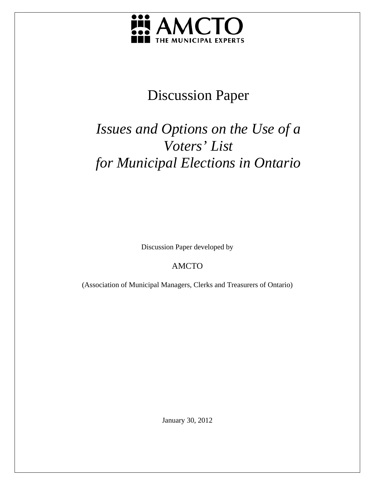

## Discussion Paper

# *Issues and Options on the Use of a Voters' List for Municipal Elections in Ontario*

Discussion Paper developed by

## AMCTO

(Association of Municipal Managers, Clerks and Treasurers of Ontario)

January 30, 2012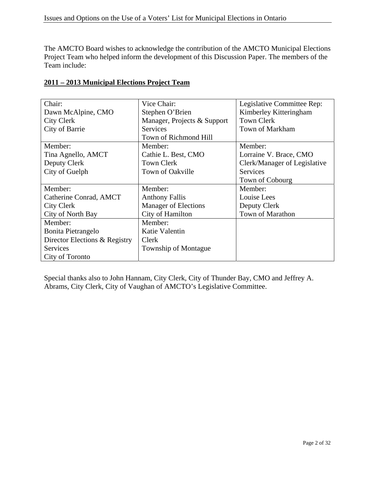The AMCTO Board wishes to acknowledge the contribution of the AMCTO Municipal Elections Project Team who helped inform the development of this Discussion Paper. The members of the Team include:

| Chair:                        | Vice Chair:                 | Legislative Committee Rep:   |  |
|-------------------------------|-----------------------------|------------------------------|--|
| Dawn McAlpine, CMO            | Stephen O'Brien             | Kimberley Kitteringham       |  |
| <b>City Clerk</b>             | Manager, Projects & Support | <b>Town Clerk</b>            |  |
| City of Barrie                | <b>Services</b>             | Town of Markham              |  |
|                               | Town of Richmond Hill       |                              |  |
| Member:                       | Member:                     | Member:                      |  |
| Tina Agnello, AMCT            | Cathie L. Best, CMO         | Lorraine V. Brace, CMO       |  |
| Deputy Clerk                  | <b>Town Clerk</b>           | Clerk/Manager of Legislative |  |
| City of Guelph                | Town of Oakville            | <b>Services</b>              |  |
|                               |                             | Town of Cobourg              |  |
| Member:                       | Member:                     | Member:                      |  |
| Catherine Conrad, AMCT        | <b>Anthony Fallis</b>       | Louise Lees                  |  |
| City Clerk                    | <b>Manager of Elections</b> | Deputy Clerk                 |  |
| City of North Bay             | City of Hamilton            | Town of Marathon             |  |
| Member:                       | Member:                     |                              |  |
| Bonita Pietrangelo            | Katie Valentin              |                              |  |
| Director Elections & Registry | Clerk                       |                              |  |
| <b>Services</b>               | Township of Montague        |                              |  |
| City of Toronto               |                             |                              |  |

#### **2011 – 2013 Municipal Elections Project Team**

Special thanks also to John Hannam, City Clerk, City of Thunder Bay, CMO and Jeffrey A. Abrams, City Clerk, City of Vaughan of AMCTO's Legislative Committee.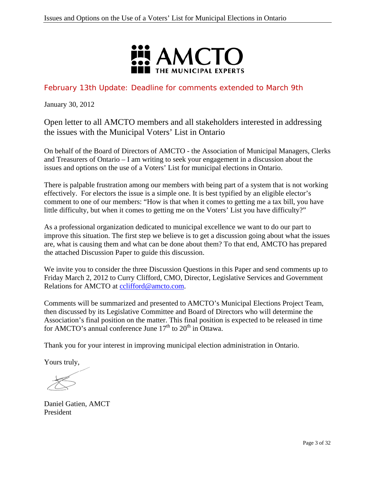

## February 13th Update: Deadline for comments extended to March 9th

January 30, 2012

Open letter to all AMCTO members and all stakeholders interested in addressing the issues with the Municipal Voters' List in Ontario

On behalf of the Board of Directors of AMCTO - the Association of Municipal Managers, Clerks and Treasurers of Ontario – I am writing to seek your engagement in a discussion about the issues and options on the use of a Voters' List for municipal elections in Ontario.

There is palpable frustration among our members with being part of a system that is not working effectively. For electors the issue is a simple one. It is best typified by an eligible elector's comment to one of our members: "How is that when it comes to getting me a tax bill, you have little difficulty, but when it comes to getting me on the Voters' List you have difficulty?"

As a professional organization dedicated to municipal excellence we want to do our part to improve this situation. The first step we believe is to get a discussion going about what the issues are, what is causing them and what can be done about them? To that end, AMCTO has prepared the attached Discussion Paper to guide this discussion.

We invite you to consider the three Discussion Questions in this Paper and send comments up to Friday March 2, 2012 to Curry Clifford, CMO, Director, Legislative Services and Government Relations for AMCTO at cclifford@amcto.com.

Comments will be summarized and presented to AMCTO's Municipal Elections Project Team, then discussed by its Legislative Committee and Board of Directors who will determine the Association's final position on the matter. This final position is expected to be released in time for AMCTO's annual conference June  $17<sup>th</sup>$  to  $20<sup>th</sup>$  in Ottawa.

Thank you for your interest in improving municipal election administration in Ontario.

Yours truly,

Daniel Gatien, AMCT President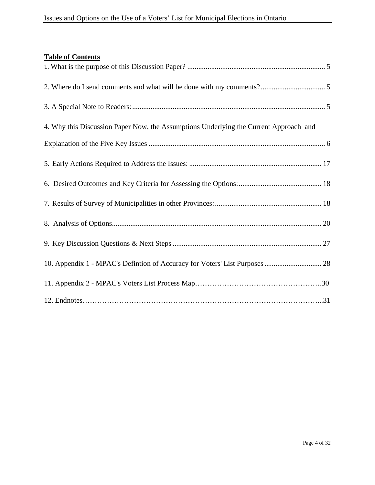| 4. Why this Discussion Paper Now, the Assumptions Underlying the Current Approach and |  |
|---------------------------------------------------------------------------------------|--|
|                                                                                       |  |
|                                                                                       |  |
|                                                                                       |  |
|                                                                                       |  |
|                                                                                       |  |
|                                                                                       |  |
| 10. Appendix 1 - MPAC's Defintion of Accuracy for Voters' List Purposes  28           |  |
|                                                                                       |  |
|                                                                                       |  |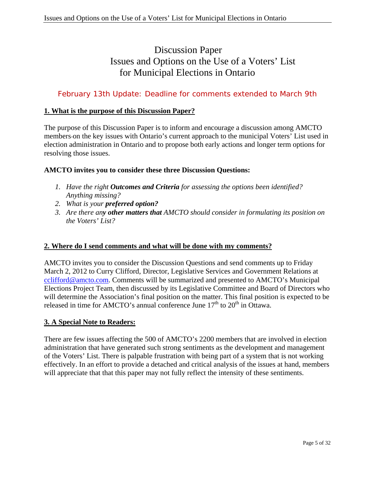## Discussion Paper Issues and Options on the Use of a Voters' List for Municipal Elections in Ontario

## February 13th Update: Deadline for comments extended to March 9th

#### **1. What is the purpose of this Discussion Paper?**

The purpose of this Discussion Paper is to inform and encourage a discussion among AMCTO members on the key issues with Ontario's current approach to the municipal Voters' List used in election administration in Ontario and to propose both early actions and longer term options for resolving those issues.

#### **AMCTO invites you to consider these three Discussion Questions:**

- *1. Have the right Outcomes and Criteria for assessing the options been identified? Anything missing?*
- *2. What is your preferred option?*
- *3. Are there any other matters that AMCTO should consider in formulating its position on the Voters' List?*

#### **2. Where do I send comments and what will be done with my comments?**

AMCTO invites you to consider the Discussion Questions and send comments up to Friday March 2, 2012 to Curry Clifford, Director, Legislative Services and Government Relations at cclifford@amcto.com. Comments will be summarized and presented to AMCTO's Municipal Elections Project Team, then discussed by its Legislative Committee and Board of Directors who will determine the Association's final position on the matter. This final position is expected to be released in time for AMCTO's annual conference June  $17<sup>th</sup>$  to  $20<sup>th</sup>$  in Ottawa.

#### **3. A Special Note to Readers:**

There are few issues affecting the 500 of AMCTO's 2200 members that are involved in election administration that have generated such strong sentiments as the development and management of the Voters' List. There is palpable frustration with being part of a system that is not working effectively. In an effort to provide a detached and critical analysis of the issues at hand, members will appreciate that that this paper may not fully reflect the intensity of these sentiments.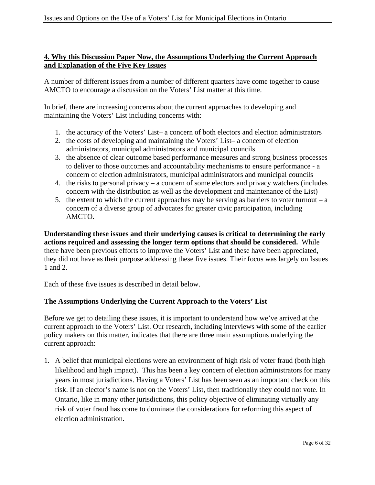### **4. Why this Discussion Paper Now, the Assumptions Underlying the Current Approach and Explanation of the Five Key Issues**

A number of different issues from a number of different quarters have come together to cause AMCTO to encourage a discussion on the Voters' List matter at this time.

In brief, there are increasing concerns about the current approaches to developing and maintaining the Voters' List including concerns with:

- 1. the accuracy of the Voters' List– a concern of both electors and election administrators
- 2. the costs of developing and maintaining the Voters' List– a concern of election administrators, municipal administrators and municipal councils
- 3. the absence of clear outcome based performance measures and strong business processes to deliver to those outcomes and accountability mechanisms to ensure performance - a concern of election administrators, municipal administrators and municipal councils
- 4. the risks to personal privacy a concern of some electors and privacy watchers (includes concern with the distribution as well as the development and maintenance of the List)
- 5. the extent to which the current approaches may be serving as barriers to voter turnout a concern of a diverse group of advocates for greater civic participation, including AMCTO.

**Understanding these issues and their underlying causes is critical to determining the early actions required and assessing the longer term options that should be considered.** While there have been previous efforts to improve the Voters' List and these have been appreciated, they did not have as their purpose addressing these five issues. Their focus was largely on Issues 1 and 2.

Each of these five issues is described in detail below.

#### **The Assumptions Underlying the Current Approach to the Voters' List**

Before we get to detailing these issues, it is important to understand how we've arrived at the current approach to the Voters' List. Our research, including interviews with some of the earlier policy makers on this matter, indicates that there are three main assumptions underlying the current approach:

1. A belief that municipal elections were an environment of high risk of voter fraud (both high likelihood and high impact). This has been a key concern of election administrators for many years in most jurisdictions. Having a Voters' List has been seen as an important check on this risk. If an elector's name is not on the Voters' List, then traditionally they could not vote. In Ontario, like in many other jurisdictions, this policy objective of eliminating virtually any risk of voter fraud has come to dominate the considerations for reforming this aspect of election administration.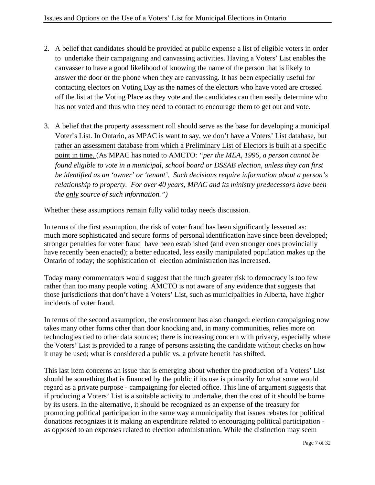- 2. A belief that candidates should be provided at public expense a list of eligible voters in order to undertake their campaigning and canvassing activities. Having a Voters' List enables the canvasser to have a good likelihood of knowing the name of the person that is likely to answer the door or the phone when they are canvassing. It has been especially useful for contacting electors on Voting Day as the names of the electors who have voted are crossed off the list at the Voting Place as they vote and the candidates can then easily determine who has not voted and thus who they need to contact to encourage them to get out and vote.
- 3. A belief that the property assessment roll should serve as the base for developing a municipal Voter's List. In Ontario, as MPAC is want to say, we don't have a Voters' List database, but rather an assessment database from which a Preliminary List of Electors is built at a specific point in time. (As MPAC has noted to AMCTO: *"per the MEA, 1996, a person cannot be found eligible to vote in a municipal, school board or DSSAB election, unless they can first be identified as an 'owner' or 'tenant'. Such decisions require information about a person's relationship to property. For over 40 years, MPAC and its ministry predecessors have been the only source of such information.")*

Whether these assumptions remain fully valid today needs discussion.

In terms of the first assumption, the risk of voter fraud has been significantly lessened as: much more sophisticated and secure forms of personal identification have since been developed; stronger penalties for voter fraud have been established (and even stronger ones provincially have recently been enacted); a better educated, less easily manipulated population makes up the Ontario of today; the sophistication of election administration has increased.

Today many commentators would suggest that the much greater risk to democracy is too few rather than too many people voting. AMCTO is not aware of any evidence that suggests that those jurisdictions that don't have a Voters' List, such as municipalities in Alberta, have higher incidents of voter fraud.

In terms of the second assumption, the environment has also changed: election campaigning now takes many other forms other than door knocking and, in many communities, relies more on technologies tied to other data sources; there is increasing concern with privacy, especially where the Voters' List is provided to a range of persons assisting the candidate without checks on how it may be used; what is considered a public vs. a private benefit has shifted.

This last item concerns an issue that is emerging about whether the production of a Voters' List should be something that is financed by the public if its use is primarily for what some would regard as a private purpose - campaigning for elected office. This line of argument suggests that if producing a Voters' List is a suitable activity to undertake, then the cost of it should be borne by its users. In the alternative, it should be recognized as an expense of the treasury for promoting political participation in the same way a municipality that issues rebates for political donations recognizes it is making an expenditure related to encouraging political participation as opposed to an expenses related to election administration. While the distinction may seem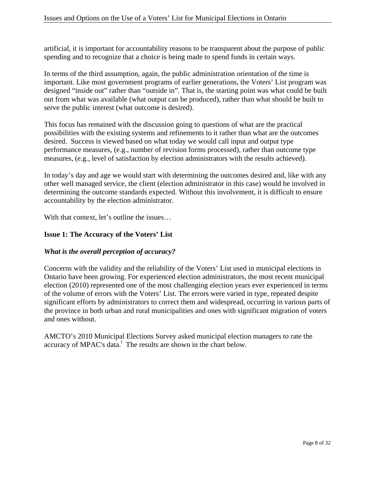artificial, it is important for accountability reasons to be transparent about the purpose of public spending and to recognize that a choice is being made to spend funds in certain ways.

In terms of the third assumption, again, the public administration orientation of the time is important. Like most government programs of earlier generations, the Voters' List program was designed "inside out" rather than "outside in". That is, the starting point was what could be built out from what was available (what output can be produced), rather than what should be built to serve the public interest (what outcome is desired).

This focus has remained with the discussion going to questions of what are the practical possibilities with the existing systems and refinements to it rather than what are the outcomes desired. Success is viewed based on what today we would call input and output type performance measures, (e.g., number of revision forms processed), rather than outcome type measures, (e.g., level of satisfaction by election administrators with the results achieved).

In today's day and age we would start with determining the outcomes desired and, like with any other well managed service, the client (election administrator in this case) would be involved in determining the outcome standards expected. Without this involvement, it is difficult to ensure accountability by the election administrator.

With that context, let's outline the issues...

#### **Issue 1: The Accuracy of the Voters' List**

#### *What is the overall perception of accuracy?*

Concerns with the validity and the reliability of the Voters' List used in municipal elections in Ontario have been growing. For experienced election administrators, the most recent municipal election (2010) represented one of the most challenging election years ever experienced in terms of the volume of errors with the Voters' List. The errors were varied in type, repeated despite significant efforts by administrators to correct them and widespread, occurring in various parts of the province in both urban and rural municipalities and ones with significant migration of voters and ones without.

AMCTO's 2010 Municipal Elections Survey asked municipal election managers to rate the accuracy of MPAC's data.<sup>i</sup> The results are shown in the chart below.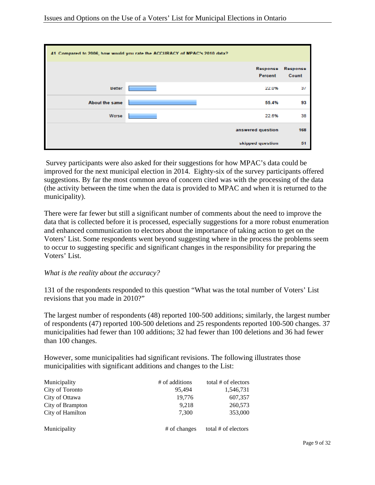| 41. Compared to 2006, how would you rate the ACCURACY of MPAC's 2010 data? |                     |       |                   |  |
|----------------------------------------------------------------------------|---------------------|-------|-------------------|--|
|                                                                            | Response<br>Percent |       | Response<br>Count |  |
| <b>Better</b>                                                              |                     | 22.0% | 37                |  |
| <b>About the same</b>                                                      |                     | 55.4% | 93                |  |
| Worse                                                                      |                     | 22.6% | 38                |  |
|                                                                            | answered question   |       | 168               |  |
|                                                                            | skipped question    |       | 51                |  |

 Survey participants were also asked for their suggestions for how MPAC's data could be improved for the next municipal election in 2014. Eighty-six of the survey participants offered suggestions. By far the most common area of concern cited was with the processing of the data (the activity between the time when the data is provided to MPAC and when it is returned to the municipality).

There were far fewer but still a significant number of comments about the need to improve the data that is collected before it is processed, especially suggestions for a more robust enumeration and enhanced communication to electors about the importance of taking action to get on the Voters' List. Some respondents went beyond suggesting where in the process the problems seem to occur to suggesting specific and significant changes in the responsibility for preparing the Voters' List.

#### *What is the reality about the accuracy?*

131 of the respondents responded to this question "What was the total number of Voters' List revisions that you made in 2010?"

The largest number of respondents (48) reported 100-500 additions; similarly, the largest number of respondents (47) reported 100-500 deletions and 25 respondents reported 100-500 changes. 37 municipalities had fewer than 100 additions; 32 had fewer than 100 deletions and 36 had fewer than 100 changes.

However, some municipalities had significant revisions. The following illustrates those municipalities with significant additions and changes to the List:

| Municipality     | # of additions | total # of electors |
|------------------|----------------|---------------------|
| City of Toronto  | 95,494         | 1,546,731           |
| City of Ottawa   | 19,776         | 607,357             |
| City of Brampton | 9.218          | 260,573             |
| City of Hamilton | 7.300          | 353,000             |
|                  |                |                     |
| Municipality     | # of changes   | total # of electors |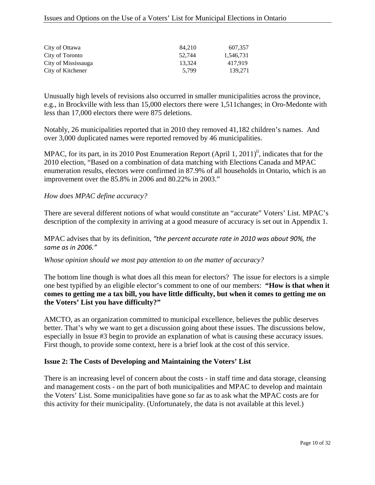#### Issues and Options on the Use of a Voters' List for Municipal Elections in Ontario

| City of Ottawa      | 84.210 | 607.357   |
|---------------------|--------|-----------|
| City of Toronto     | 52.744 | 1.546.731 |
| City of Mississauga | 13.324 | 417.919   |
| City of Kitchener   | 5.799  | 139.271   |

Unusually high levels of revisions also occurred in smaller municipalities across the province, e.g., in Brockville with less than 15,000 electors there were 1,511changes; in Oro-Medonte with less than 17,000 electors there were 875 deletions.

Notably, 26 municipalities reported that in 2010 they removed 41,182 children's names. And over 3,000 duplicated names were reported removed by 46 municipalities.

MPAC, for its part, in its 2010 Post Enumeration Report (April 1, 2011)<sup>ii</sup>, indicates that for the 2010 election, "Based on a combination of data matching with Elections Canada and MPAC enumeration results, electors were confirmed in 87.9% of all households in Ontario, which is an improvement over the 85.8% in 2006 and 80.22% in 2003."

#### *How does MPAC define accuracy?*

There are several different notions of what would constitute an "accurate" Voters' List. MPAC's description of the complexity in arriving at a good measure of accuracy is set out in Appendix 1.

#### MPAC advises that by its definition, *"the percent accurate rate in 2010 was about 90%, the same as in 2006."*

#### *Whose opinion should we most pay attention to on the matter of accuracy?*

The bottom line though is what does all this mean for electors? The issue for electors is a simple one best typified by an eligible elector's comment to one of our members: **"How is that when it comes to getting me a tax bill, you have little difficulty, but when it comes to getting me on the Voters' List you have difficulty?"** 

AMCTO, as an organization committed to municipal excellence, believes the public deserves better. That's why we want to get a discussion going about these issues. The discussions below, especially in Issue #3 begin to provide an explanation of what is causing these accuracy issues. First though, to provide some context, here is a brief look at the cost of this service.

#### **Issue 2: The Costs of Developing and Maintaining the Voters' List**

There is an increasing level of concern about the costs - in staff time and data storage, cleansing and management costs - on the part of both municipalities and MPAC to develop and maintain the Voters' List. Some municipalities have gone so far as to ask what the MPAC costs are for this activity for their municipality. (Unfortunately, the data is not available at this level.)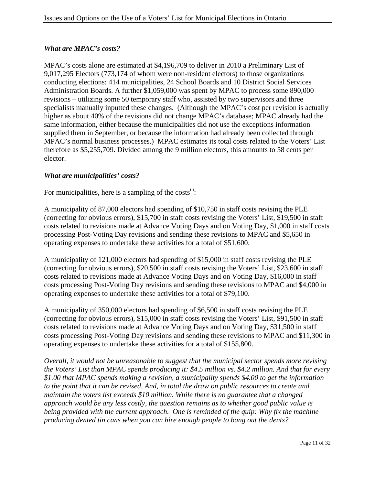### *What are MPAC's costs?*

MPAC's costs alone are estimated at \$4,196,709 to deliver in 2010 a Preliminary List of 9,017,295 Electors (773,174 of whom were non-resident electors) to those organizations conducting elections: 414 municipalities, 24 School Boards and 10 District Social Services Administration Boards. A further \$1,059,000 was spent by MPAC to process some 890,000 revisions – utilizing some 50 temporary staff who, assisted by two supervisors and three specialists manually inputted these changes. (Although the MPAC's cost per revision is actually higher as about 40% of the revisions did not change MPAC's database; MPAC already had the same information, either because the municipalities did not use the exceptions information supplied them in September, or because the information had already been collected through MPAC's normal business processes.) MPAC estimates its total costs related to the Voters' List therefore as \$5,255,709. Divided among the 9 million electors, this amounts to 58 cents per elector.

#### *What are municipalities' costs?*

For municipalities, here is a sampling of the costs<sup>iii</sup>:

A municipality of 87,000 electors had spending of \$10,750 in staff costs revising the PLE (correcting for obvious errors), \$15,700 in staff costs revising the Voters' List, \$19,500 in staff costs related to revisions made at Advance Voting Days and on Voting Day, \$1,000 in staff costs processing Post-Voting Day revisions and sending these revisions to MPAC and \$5,650 in operating expenses to undertake these activities for a total of \$51,600.

A municipality of 121,000 electors had spending of \$15,000 in staff costs revising the PLE (correcting for obvious errors), \$20,500 in staff costs revising the Voters' List, \$23,600 in staff costs related to revisions made at Advance Voting Days and on Voting Day, \$16,000 in staff costs processing Post-Voting Day revisions and sending these revisions to MPAC and \$4,000 in operating expenses to undertake these activities for a total of \$79,100.

A municipality of 350,000 electors had spending of \$6,500 in staff costs revising the PLE (correcting for obvious errors), \$15,000 in staff costs revising the Voters' List, \$91,500 in staff costs related to revisions made at Advance Voting Days and on Voting Day, \$31,500 in staff costs processing Post-Voting Day revisions and sending these revisions to MPAC and \$11,300 in operating expenses to undertake these activities for a total of \$155,800.

*Overall, it would not be unreasonable to suggest that the municipal sector spends more revising the Voters' List than MPAC spends producing it: \$4.5 million vs. \$4.2 million. And that for every \$1.00 that MPAC spends making a revision, a municipality spends \$4.00 to get the information to the point that it can be revised. And, in total the draw on public resources to create and maintain the voters list exceeds \$10 million. While there is no guarantee that a changed approach would be any less costly, the question remains as to whether good public value is being provided with the current approach. One is reminded of the quip: Why fix the machine producing dented tin cans when you can hire enough people to bang out the dents?*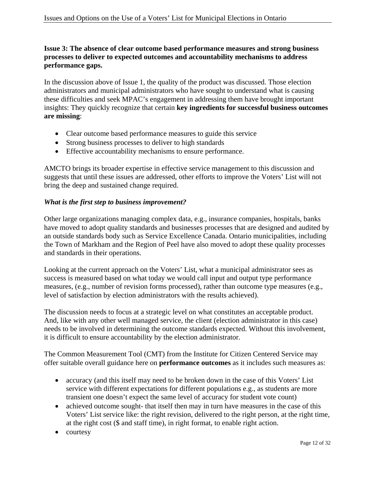#### **Issue 3: The absence of clear outcome based performance measures and strong business processes to deliver to expected outcomes and accountability mechanisms to address performance gaps.**

In the discussion above of Issue 1, the quality of the product was discussed. Those election administrators and municipal administrators who have sought to understand what is causing these difficulties and seek MPAC's engagement in addressing them have brought important insights: They quickly recognize that certain **key ingredients for successful business outcomes are missing**:

- Clear outcome based performance measures to guide this service
- Strong business processes to deliver to high standards
- Effective accountability mechanisms to ensure performance.

AMCTO brings its broader expertise in effective service management to this discussion and suggests that until these issues are addressed, other efforts to improve the Voters' List will not bring the deep and sustained change required.

#### *What is the first step to business improvement?*

Other large organizations managing complex data, e.g., insurance companies, hospitals, banks have moved to adopt quality standards and businesses processes that are designed and audited by an outside standards body such as Service Excellence Canada. Ontario municipalities, including the Town of Markham and the Region of Peel have also moved to adopt these quality processes and standards in their operations.

Looking at the current approach on the Voters' List, what a municipal administrator sees as success is measured based on what today we would call input and output type performance measures, (e.g., number of revision forms processed), rather than outcome type measures (e.g., level of satisfaction by election administrators with the results achieved).

The discussion needs to focus at a strategic level on what constitutes an acceptable product. And, like with any other well managed service, the client (election administrator in this case) needs to be involved in determining the outcome standards expected. Without this involvement, it is difficult to ensure accountability by the election administrator.

The Common Measurement Tool (CMT) from the Institute for Citizen Centered Service may offer suitable overall guidance here on **performance outcomes** as it includes such measures as:

- accuracy (and this itself may need to be broken down in the case of this Voters' List service with different expectations for different populations e.g., as students are more transient one doesn't expect the same level of accuracy for student vote count)
- achieved outcome sought- that itself then may in turn have measures in the case of this Voters' List service like: the right revision, delivered to the right person, at the right time, at the right cost (\$ and staff time), in right format, to enable right action.
- courtesy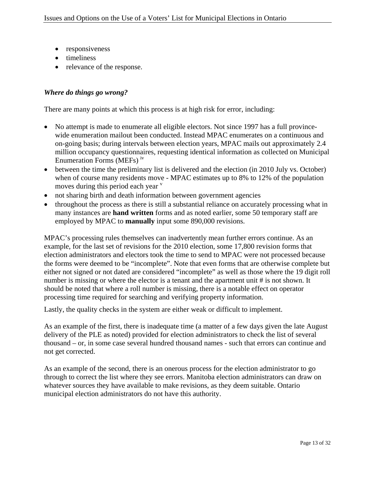- responsiveness
- timeliness
- relevance of the response.

#### *Where do things go wrong?*

There are many points at which this process is at high risk for error, including:

- No attempt is made to enumerate all eligible electors. Not since 1997 has a full provincewide enumeration mailout been conducted. Instead MPAC enumerates on a continuous and on-going basis; during intervals between election years, MPAC mails out approximately 2.4 million occupancy questionnaires, requesting identical information as collected on Municipal Enumeration Forms (MEFs) iv
- between the time the preliminary list is delivered and the election (in 2010 July vs. October) when of course many residents move - MPAC estimates up to 8% to 12% of the population moves during this period each year  $\overline{v}$
- not sharing birth and death information between government agencies
- throughout the process as there is still a substantial reliance on accurately processing what in many instances are **hand written** forms and as noted earlier, some 50 temporary staff are employed by MPAC to **manually** input some 890,000 revisions.

MPAC's processing rules themselves can inadvertently mean further errors continue. As an example, for the last set of revisions for the 2010 election, some 17,800 revision forms that election administrators and electors took the time to send to MPAC were not processed because the forms were deemed to be "incomplete". Note that even forms that are otherwise complete but either not signed or not dated are considered "incomplete" as well as those where the 19 digit roll number is missing or where the elector is a tenant and the apartment unit # is not shown. It should be noted that where a roll number is missing, there is a notable effect on operator processing time required for searching and verifying property information.

Lastly, the quality checks in the system are either weak or difficult to implement.

As an example of the first, there is inadequate time (a matter of a few days given the late August delivery of the PLE as noted) provided for election administrators to check the list of several thousand – or, in some case several hundred thousand names - such that errors can continue and not get corrected.

As an example of the second, there is an onerous process for the election administrator to go through to correct the list where they see errors. Manitoba election administrators can draw on whatever sources they have available to make revisions, as they deem suitable. Ontario municipal election administrators do not have this authority.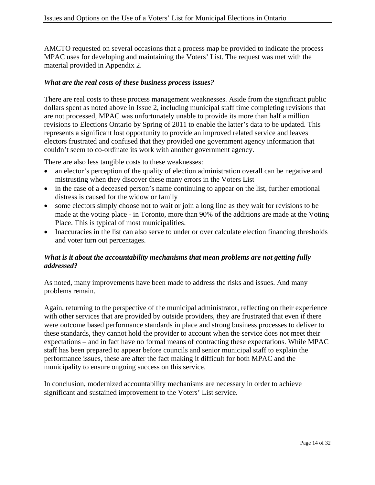AMCTO requested on several occasions that a process map be provided to indicate the process MPAC uses for developing and maintaining the Voters' List. The request was met with the material provided in Appendix 2.

#### *What are the real costs of these business process issues?*

There are real costs to these process management weaknesses. Aside from the significant public dollars spent as noted above in Issue 2, including municipal staff time completing revisions that are not processed, MPAC was unfortunately unable to provide its more than half a million revisions to Elections Ontario by Spring of 2011 to enable the latter's data to be updated. This represents a significant lost opportunity to provide an improved related service and leaves electors frustrated and confused that they provided one government agency information that couldn't seem to co-ordinate its work with another government agency.

There are also less tangible costs to these weaknesses:

- an elector's perception of the quality of election administration overall can be negative and mistrusting when they discover these many errors in the Voters List
- in the case of a deceased person's name continuing to appear on the list, further emotional distress is caused for the widow or family
- some electors simply choose not to wait or join a long line as they wait for revisions to be made at the voting place - in Toronto, more than 90% of the additions are made at the Voting Place. This is typical of most municipalities.
- Inaccuracies in the list can also serve to under or over calculate election financing thresholds and voter turn out percentages.

#### *What is it about the accountability mechanisms that mean problems are not getting fully addressed?*

As noted, many improvements have been made to address the risks and issues. And many problems remain.

Again, returning to the perspective of the municipal administrator, reflecting on their experience with other services that are provided by outside providers, they are frustrated that even if there were outcome based performance standards in place and strong business processes to deliver to these standards, they cannot hold the provider to account when the service does not meet their expectations – and in fact have no formal means of contracting these expectations. While MPAC staff has been prepared to appear before councils and senior municipal staff to explain the performance issues, these are after the fact making it difficult for both MPAC and the municipality to ensure ongoing success on this service.

In conclusion, modernized accountability mechanisms are necessary in order to achieve significant and sustained improvement to the Voters' List service.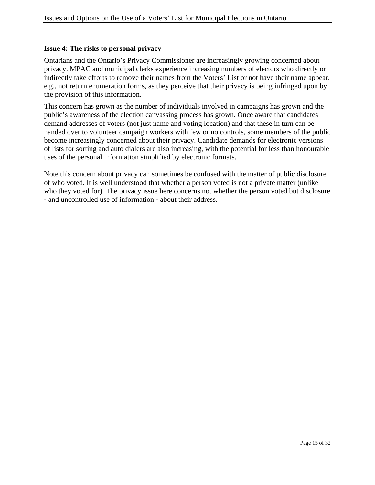#### **Issue 4: The risks to personal privacy**

Ontarians and the Ontario's Privacy Commissioner are increasingly growing concerned about privacy. MPAC and municipal clerks experience increasing numbers of electors who directly or indirectly take efforts to remove their names from the Voters' List or not have their name appear, e.g., not return enumeration forms, as they perceive that their privacy is being infringed upon by the provision of this information.

This concern has grown as the number of individuals involved in campaigns has grown and the public's awareness of the election canvassing process has grown. Once aware that candidates demand addresses of voters (not just name and voting location) and that these in turn can be handed over to volunteer campaign workers with few or no controls, some members of the public become increasingly concerned about their privacy. Candidate demands for electronic versions of lists for sorting and auto dialers are also increasing, with the potential for less than honourable uses of the personal information simplified by electronic formats.

Note this concern about privacy can sometimes be confused with the matter of public disclosure of who voted. It is well understood that whether a person voted is not a private matter (unlike who they voted for). The privacy issue here concerns not whether the person voted but disclosure - and uncontrolled use of information - about their address.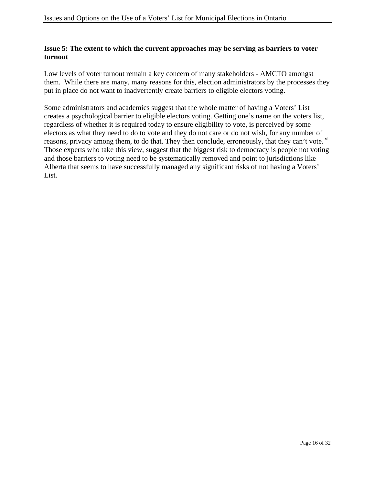#### **Issue 5: The extent to which the current approaches may be serving as barriers to voter turnout**

Low levels of voter turnout remain a key concern of many stakeholders - AMCTO amongst them. While there are many, many reasons for this, election administrators by the processes they put in place do not want to inadvertently create barriers to eligible electors voting.

Some administrators and academics suggest that the whole matter of having a Voters' List creates a psychological barrier to eligible electors voting. Getting one's name on the voters list, regardless of whether it is required today to ensure eligibility to vote, is perceived by some electors as what they need to do to vote and they do not care or do not wish, for any number of reasons, privacy among them, to do that. They then conclude, erroneously, that they can't vote. <sup>vi</sup> Those experts who take this view, suggest that the biggest risk to democracy is people not voting and those barriers to voting need to be systematically removed and point to jurisdictions like Alberta that seems to have successfully managed any significant risks of not having a Voters' List.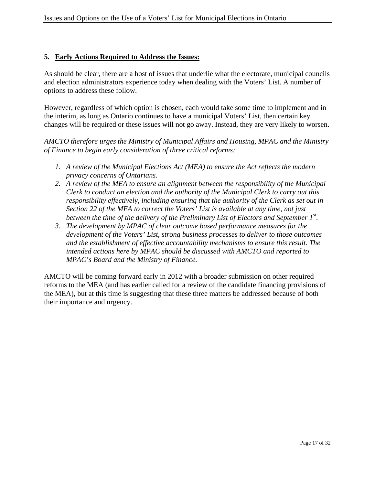#### **5. Early Actions Required to Address the Issues:**

As should be clear, there are a host of issues that underlie what the electorate, municipal councils and election administrators experience today when dealing with the Voters' List. A number of options to address these follow.

However, regardless of which option is chosen, each would take some time to implement and in the interim, as long as Ontario continues to have a municipal Voters' List, then certain key changes will be required or these issues will not go away. Instead, they are very likely to worsen.

*AMCTO therefore urges the Ministry of Municipal Affairs and Housing, MPAC and the Ministry of Finance to begin early consideration of three critical reforms:* 

- *1. A review of the Municipal Elections Act (MEA) to ensure the Act reflects the modern privacy concerns of Ontarians.*
- *2. A review of the MEA to ensure an alignment between the responsibility of the Municipal Clerk to conduct an election and the authority of the Municipal Clerk to carry out this responsibility effectively, including ensuring that the authority of the Clerk as set out in Section 22 of the MEA to correct the Voters' List is available at any time, not just*  between the time of the delivery of the Preliminary List of Electors and September 1<sup>st</sup>.
- *3. The development by MPAC of clear outcome based performance measures for the development of the Voters' List, strong business processes to deliver to those outcomes and the establishment of effective accountability mechanisms to ensure this result. The intended actions here by MPAC should be discussed with AMCTO and reported to MPAC's Board and the Ministry of Finance.*

AMCTO will be coming forward early in 2012 with a broader submission on other required reforms to the MEA (and has earlier called for a review of the candidate financing provisions of the MEA), but at this time is suggesting that these three matters be addressed because of both their importance and urgency.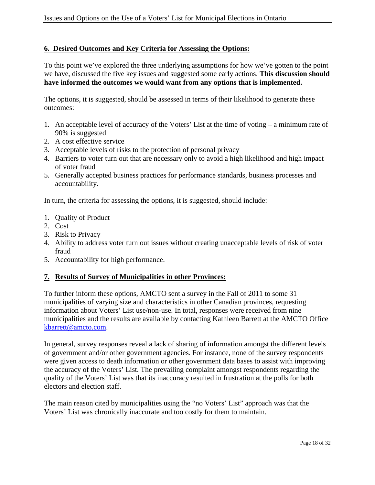#### **6. Desired Outcomes and Key Criteria for Assessing the Options:**

To this point we've explored the three underlying assumptions for how we've gotten to the point we have, discussed the five key issues and suggested some early actions. **This discussion should have informed the outcomes we would want from any options that is implemented.** 

The options, it is suggested, should be assessed in terms of their likelihood to generate these outcomes:

- 1. An acceptable level of accuracy of the Voters' List at the time of voting a minimum rate of 90% is suggested
- 2. A cost effective service
- 3. Acceptable levels of risks to the protection of personal privacy
- 4. Barriers to voter turn out that are necessary only to avoid a high likelihood and high impact of voter fraud
- 5. Generally accepted business practices for performance standards, business processes and accountability.

In turn, the criteria for assessing the options, it is suggested, should include:

- 1. Quality of Product
- 2. Cost
- 3. Risk to Privacy
- 4. Ability to address voter turn out issues without creating unacceptable levels of risk of voter fraud
- 5. Accountability for high performance.

#### **7. Results of Survey of Municipalities in other Provinces:**

To further inform these options, AMCTO sent a survey in the Fall of 2011 to some 31 municipalities of varying size and characteristics in other Canadian provinces, requesting information about Voters' List use/non-use. In total, responses were received from nine municipalities and the results are available by contacting Kathleen Barrett at the AMCTO Office kbarrett@amcto.com.

In general, survey responses reveal a lack of sharing of information amongst the different levels of government and/or other government agencies. For instance, none of the survey respondents were given access to death information or other government data bases to assist with improving the accuracy of the Voters' List. The prevailing complaint amongst respondents regarding the quality of the Voters' List was that its inaccuracy resulted in frustration at the polls for both electors and election staff.

The main reason cited by municipalities using the "no Voters' List" approach was that the Voters' List was chronically inaccurate and too costly for them to maintain.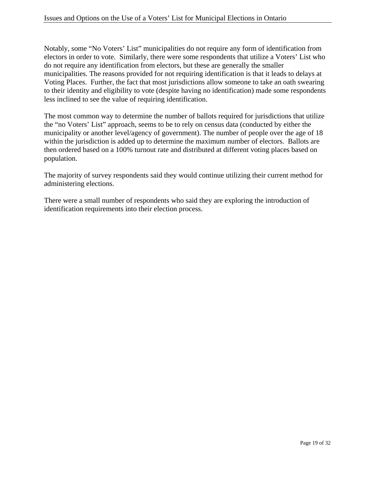Notably, some "No Voters' List" municipalities do not require any form of identification from electors in order to vote. Similarly, there were some respondents that utilize a Voters' List who do not require any identification from electors, but these are generally the smaller municipalities. The reasons provided for not requiring identification is that it leads to delays at Voting Places. Further, the fact that most jurisdictions allow someone to take an oath swearing to their identity and eligibility to vote (despite having no identification) made some respondents less inclined to see the value of requiring identification.

The most common way to determine the number of ballots required for jurisdictions that utilize the "no Voters' List" approach, seems to be to rely on census data (conducted by either the municipality or another level/agency of government). The number of people over the age of 18 within the jurisdiction is added up to determine the maximum number of electors. Ballots are then ordered based on a 100% turnout rate and distributed at different voting places based on population.

The majority of survey respondents said they would continue utilizing their current method for administering elections.

There were a small number of respondents who said they are exploring the introduction of identification requirements into their election process.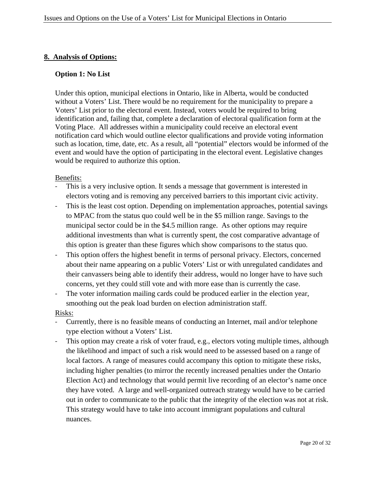#### **8. Analysis of Options:**

#### **Option 1: No List**

Under this option, municipal elections in Ontario, like in Alberta, would be conducted without a Voters' List. There would be no requirement for the municipality to prepare a Voters' List prior to the electoral event. Instead, voters would be required to bring identification and, failing that, complete a declaration of electoral qualification form at the Voting Place. All addresses within a municipality could receive an electoral event notification card which would outline elector qualifications and provide voting information such as location, time, date, etc. As a result, all "potential" electors would be informed of the event and would have the option of participating in the electoral event. Legislative changes would be required to authorize this option.

#### Benefits:

- This is a very inclusive option. It sends a message that government is interested in electors voting and is removing any perceived barriers to this important civic activity.
- This is the least cost option. Depending on implementation approaches, potential savings to MPAC from the status quo could well be in the \$5 million range. Savings to the municipal sector could be in the \$4.5 million range. As other options may require additional investments than what is currently spent, the cost comparative advantage of this option is greater than these figures which show comparisons to the status quo.
- ‐ This option offers the highest benefit in terms of personal privacy. Electors, concerned about their name appearing on a public Voters' List or with unregulated candidates and their canvassers being able to identify their address, would no longer have to have such concerns, yet they could still vote and with more ease than is currently the case.
- ‐ The voter information mailing cards could be produced earlier in the election year, smoothing out the peak load burden on election administration staff.

- ‐ Currently, there is no feasible means of conducting an Internet, mail and/or telephone type election without a Voters' List.
- ‐ This option may create a risk of voter fraud, e.g., electors voting multiple times, although the likelihood and impact of such a risk would need to be assessed based on a range of local factors. A range of measures could accompany this option to mitigate these risks, including higher penalties (to mirror the recently increased penalties under the Ontario Election Act) and technology that would permit live recording of an elector's name once they have voted. A large and well-organized outreach strategy would have to be carried out in order to communicate to the public that the integrity of the election was not at risk. This strategy would have to take into account immigrant populations and cultural nuances.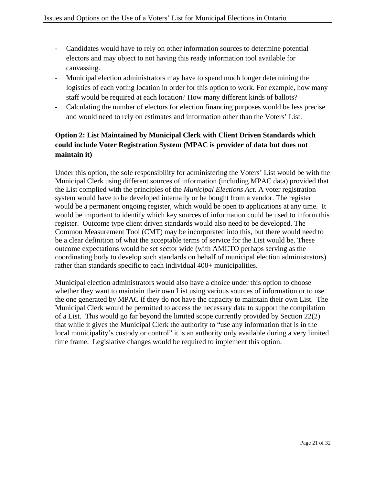- ‐ Candidates would have to rely on other information sources to determine potential electors and may object to not having this ready information tool available for canvassing.
- ‐ Municipal election administrators may have to spend much longer determining the logistics of each voting location in order for this option to work. For example, how many staff would be required at each location? How many different kinds of ballots?
- ‐ Calculating the number of electors for election financing purposes would be less precise and would need to rely on estimates and information other than the Voters' List.

## **Option 2: List Maintained by Municipal Clerk with Client Driven Standards which could include Voter Registration System (MPAC is provider of data but does not maintain it)**

Under this option, the sole responsibility for administering the Voters' List would be with the Municipal Clerk using different sources of information (including MPAC data) provided that the List complied with the principles of the *Municipal Elections Act*. A voter registration system would have to be developed internally or be bought from a vendor. The register would be a permanent ongoing register, which would be open to applications at any time. It would be important to identify which key sources of information could be used to inform this register. Outcome type client driven standards would also need to be developed. The Common Measurement Tool (CMT) may be incorporated into this, but there would need to be a clear definition of what the acceptable terms of service for the List would be. These outcome expectations would be set sector wide (with AMCTO perhaps serving as the coordinating body to develop such standards on behalf of municipal election administrators) rather than standards specific to each individual 400+ municipalities.

Municipal election administrators would also have a choice under this option to choose whether they want to maintain their own List using various sources of information or to use the one generated by MPAC if they do not have the capacity to maintain their own List. The Municipal Clerk would be permitted to access the necessary data to support the compilation of a List. This would go far beyond the limited scope currently provided by Section 22(2) that while it gives the Municipal Clerk the authority to "use any information that is in the local municipality's custody or control" it is an authority only available during a very limited time frame. Legislative changes would be required to implement this option.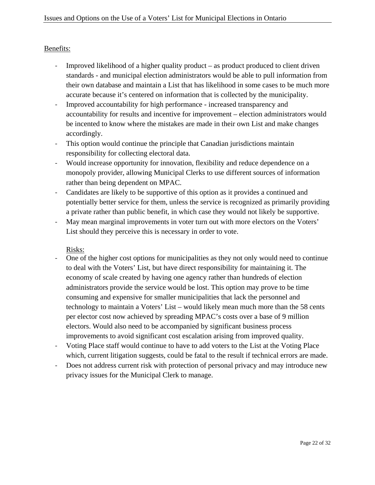### Benefits:

- Improved likelihood of a higher quality product as product produced to client driven standards - and municipal election administrators would be able to pull information from their own database and maintain a List that has likelihood in some cases to be much more accurate because it's centered on information that is collected by the municipality.
- ‐ Improved accountability for high performance increased transparency and accountability for results and incentive for improvement – election administrators would be incented to know where the mistakes are made in their own List and make changes accordingly.
- ‐ This option would continue the principle that Canadian jurisdictions maintain responsibility for collecting electoral data.
- ‐ Would increase opportunity for innovation, flexibility and reduce dependence on a monopoly provider, allowing Municipal Clerks to use different sources of information rather than being dependent on MPAC.
- ‐ Candidates are likely to be supportive of this option as it provides a continued and potentially better service for them, unless the service is recognized as primarily providing a private rather than public benefit, in which case they would not likely be supportive.
- May mean marginal improvements in voter turn out with more electors on the Voters' List should they perceive this is necessary in order to vote.

- ‐ One of the higher cost options for municipalities as they not only would need to continue to deal with the Voters' List, but have direct responsibility for maintaining it. The economy of scale created by having one agency rather than hundreds of election administrators provide the service would be lost. This option may prove to be time consuming and expensive for smaller municipalities that lack the personnel and technology to maintain a Voters' List – would likely mean much more than the 58 cents per elector cost now achieved by spreading MPAC's costs over a base of 9 million electors. Would also need to be accompanied by significant business process improvements to avoid significant cost escalation arising from improved quality.
- ‐ Voting Place staff would continue to have to add voters to the List at the Voting Place which, current litigation suggests, could be fatal to the result if technical errors are made.
- ‐ Does not address current risk with protection of personal privacy and may introduce new privacy issues for the Municipal Clerk to manage.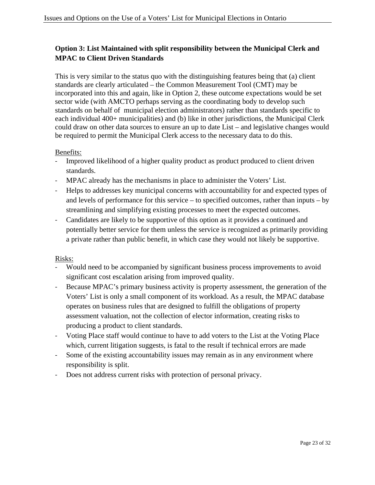## **Option 3: List Maintained with split responsibility between the Municipal Clerk and MPAC to Client Driven Standards**

This is very similar to the status quo with the distinguishing features being that (a) client standards are clearly articulated – the Common Measurement Tool (CMT) may be incorporated into this and again, like in Option 2, these outcome expectations would be set sector wide (with AMCTO perhaps serving as the coordinating body to develop such standards on behalf of municipal election administrators) rather than standards specific to each individual 400+ municipalities) and (b) like in other jurisdictions, the Municipal Clerk could draw on other data sources to ensure an up to date List – and legislative changes would be required to permit the Municipal Clerk access to the necessary data to do this.

#### Benefits:

- ‐ Improved likelihood of a higher quality product as product produced to client driven standards.
- ‐ MPAC already has the mechanisms in place to administer the Voters' List.
- ‐ Helps to addresses key municipal concerns with accountability for and expected types of and levels of performance for this service – to specified outcomes, rather than inputs – by streamlining and simplifying existing processes to meet the expected outcomes.
- ‐ Candidates are likely to be supportive of this option as it provides a continued and potentially better service for them unless the service is recognized as primarily providing a private rather than public benefit, in which case they would not likely be supportive.

- ‐ Would need to be accompanied by significant business process improvements to avoid significant cost escalation arising from improved quality.
- ‐ Because MPAC's primary business activity is property assessment, the generation of the Voters' List is only a small component of its workload. As a result, the MPAC database operates on business rules that are designed to fulfill the obligations of property assessment valuation, not the collection of elector information, creating risks to producing a product to client standards.
- ‐ Voting Place staff would continue to have to add voters to the List at the Voting Place which, current litigation suggests, is fatal to the result if technical errors are made
- ‐ Some of the existing accountability issues may remain as in any environment where responsibility is split.
- Does not address current risks with protection of personal privacy.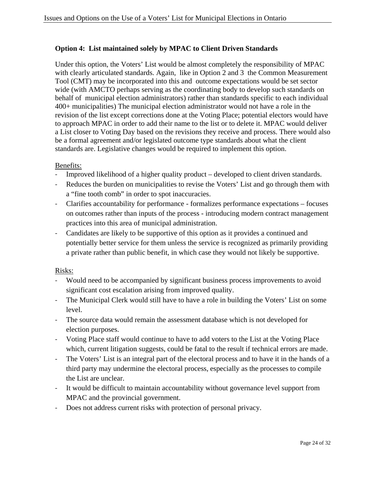#### **Option 4: List maintained solely by MPAC to Client Driven Standards**

Under this option, the Voters' List would be almost completely the responsibility of MPAC with clearly articulated standards. Again, like in Option 2 and 3 the Common Measurement Tool (CMT) may be incorporated into this and outcome expectations would be set sector wide (with AMCTO perhaps serving as the coordinating body to develop such standards on behalf of municipal election administrators) rather than standards specific to each individual 400+ municipalities) The municipal election administrator would not have a role in the revision of the list except corrections done at the Voting Place; potential electors would have to approach MPAC in order to add their name to the list or to delete it. MPAC would deliver a List closer to Voting Day based on the revisions they receive and process. There would also be a formal agreement and/or legislated outcome type standards about what the client standards are. Legislative changes would be required to implement this option.

#### Benefits:

- Improved likelihood of a higher quality product developed to client driven standards.
- Reduces the burden on municipalities to revise the Voters' List and go through them with a "fine tooth comb" in order to spot inaccuracies.
- ‐ Clarifies accountability for performance formalizes performance expectations focuses on outcomes rather than inputs of the process - introducing modern contract management practices into this area of municipal administration.
- ‐ Candidates are likely to be supportive of this option as it provides a continued and potentially better service for them unless the service is recognized as primarily providing a private rather than public benefit, in which case they would not likely be supportive.

- ‐ Would need to be accompanied by significant business process improvements to avoid significant cost escalation arising from improved quality.
- ‐ The Municipal Clerk would still have to have a role in building the Voters' List on some level.
- ‐ The source data would remain the assessment database which is not developed for election purposes.
- ‐ Voting Place staff would continue to have to add voters to the List at the Voting Place which, current litigation suggests, could be fatal to the result if technical errors are made.
- ‐ The Voters' List is an integral part of the electoral process and to have it in the hands of a third party may undermine the electoral process, especially as the processes to compile the List are unclear.
- It would be difficult to maintain accountability without governance level support from MPAC and the provincial government.
- ‐ Does not address current risks with protection of personal privacy.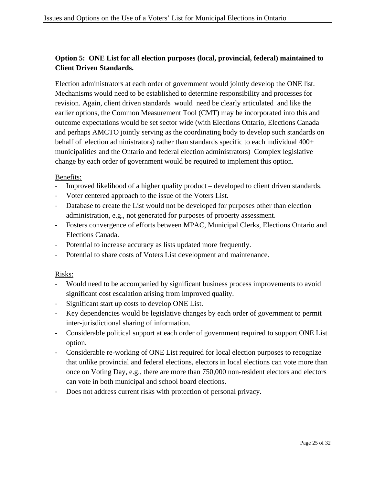## **Option 5: ONE List for all election purposes (local, provincial, federal) maintained to Client Driven Standards.**

Election administrators at each order of government would jointly develop the ONE list. Mechanisms would need to be established to determine responsibility and processes for revision. Again, client driven standards would need be clearly articulated and like the earlier options, the Common Measurement Tool (CMT) may be incorporated into this and outcome expectations would be set sector wide (with Elections Ontario, Elections Canada and perhaps AMCTO jointly serving as the coordinating body to develop such standards on behalf of election administrators) rather than standards specific to each individual 400+ municipalities and the Ontario and federal election administrators) Complex legislative change by each order of government would be required to implement this option.

#### Benefits:

- ‐ Improved likelihood of a higher quality product developed to client driven standards.
- ‐ Voter centered approach to the issue of the Voters List.
- ‐ Database to create the List would not be developed for purposes other than election administration, e.g., not generated for purposes of property assessment.
- ‐ Fosters convergence of efforts between MPAC, Municipal Clerks, Elections Ontario and Elections Canada.
- ‐ Potential to increase accuracy as lists updated more frequently.
- ‐ Potential to share costs of Voters List development and maintenance.

- ‐ Would need to be accompanied by significant business process improvements to avoid significant cost escalation arising from improved quality.
- Significant start up costs to develop ONE List.
- ‐ Key dependencies would be legislative changes by each order of government to permit inter-jurisdictional sharing of information.
- ‐ Considerable political support at each order of government required to support ONE List option.
- ‐ Considerable re-working of ONE List required for local election purposes to recognize that unlike provincial and federal elections, electors in local elections can vote more than once on Voting Day, e.g., there are more than 750,000 non-resident electors and electors can vote in both municipal and school board elections.
- ‐ Does not address current risks with protection of personal privacy.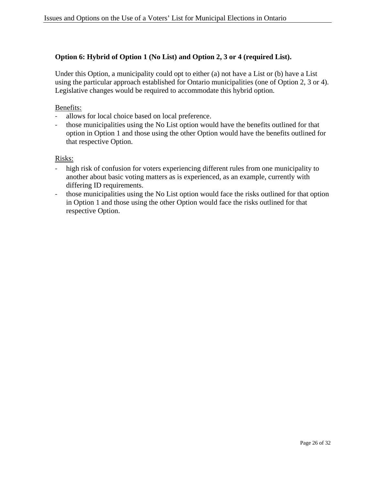### **Option 6: Hybrid of Option 1 (No List) and Option 2, 3 or 4 (required List).**

Under this Option, a municipality could opt to either (a) not have a List or (b) have a List using the particular approach established for Ontario municipalities (one of Option 2, 3 or 4). Legislative changes would be required to accommodate this hybrid option.

#### Benefits:

- ‐ allows for local choice based on local preference.
- ‐ those municipalities using the No List option would have the benefits outlined for that option in Option 1 and those using the other Option would have the benefits outlined for that respective Option.

- ‐ high risk of confusion for voters experiencing different rules from one municipality to another about basic voting matters as is experienced, as an example, currently with differing ID requirements.
- those municipalities using the No List option would face the risks outlined for that option in Option 1 and those using the other Option would face the risks outlined for that respective Option.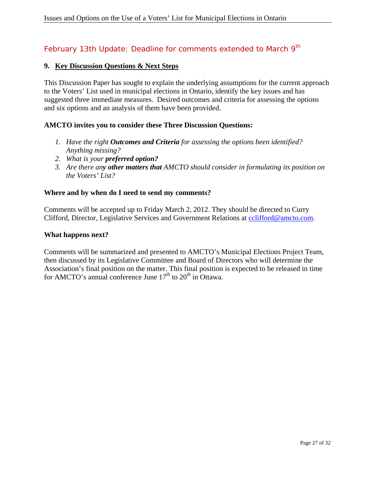## February 13th Update: Deadline for comments extended to March 9<sup>th</sup>

#### **9. Key Discussion Questions & Next Steps**

This Discussion Paper has sought to explain the underlying assumptions for the current approach to the Voters' List used in municipal elections in Ontario, identify the key issues and has suggested three immediate measures. Desired outcomes and criteria for assessing the options and six options and an analysis of them have been provided.

#### **AMCTO invites you to consider these Three Discussion Questions:**

- *1. Have the right Outcomes and Criteria for assessing the options been identified? Anything missing?*
- *2. What is your preferred option?*
- *3. Are there any other matters that AMCTO should consider in formulating its position on the Voters' List?*

#### **Where and by when do I need to send my comments?**

Comments will be accepted up to Friday March 2, 2012. They should be directed to Curry Clifford, Director, Legislative Services and Government Relations at cclifford@amcto.com.

#### **What happens next?**

Comments will be summarized and presented to AMCTO's Municipal Elections Project Team, then discussed by its Legislative Committee and Board of Directors who will determine the Association's final position on the matter. This final position is expected to be released in time for AMCTO's annual conference June  $17<sup>th</sup>$  to  $20<sup>th</sup>$  in Ottawa.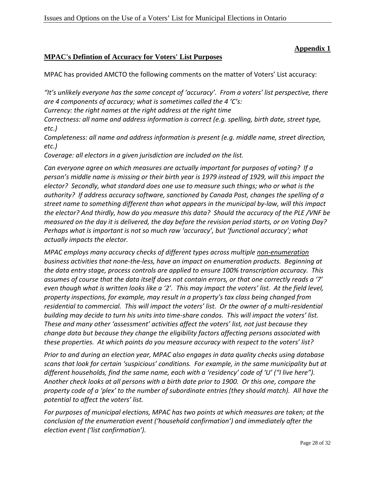### **Appendix 1**

#### **MPAC's Defintion of Accuracy for Voters' List Purposes**

MPAC has provided AMCTO the following comments on the matter of Voters' List accuracy:

*"It's unlikely everyone has the same concept of 'accuracy'. From a voters' list perspective, there are 4 components of accuracy; what is sometimes called the 4 'C's:*

*Currency: the right names at the right address at the right time*

*Correctness: all name and address information is correct (e.g. spelling, birth date, street type, etc.)*

*Completeness: all name and address information is present (e.g. middle name, street direction, etc.)*

*Coverage: all electors in a given jurisdiction are included on the list.*

*Can everyone agree on which measures are actually important for purposes of voting? If a person's middle name is missing or their birth year is 1979 instead of 1929, will this impact the elector? Secondly, what standard does one use to measure such things; who or what is the authority? If address accuracy software, sanctioned by Canada Post, changes the spelling of a street name to something different than what appears in the municipal by‐law, will this impact* the elector? And thirdly, how do you measure this data? Should the accuracy of the PLE/VNF be measured on the day it is delivered, the day before the revision period starts, or on Voting Day? *Perhaps what is important is not so much raw 'accuracy', but 'functional accuracy'; what actually impacts the elector.*

*MPAC employs many accuracy checks of different types across multiple non‐enumeration business activities that none‐the‐less, have an impact on enumeration products. Beginning at the data entry stage, process controls are applied to ensure 100% transcription accuracy. This assumes of course that the data itself does not contain errors, or that one correctly reads a '7'* even though what is written looks like a '2'. This may impact the voters' list. At the field level, *property inspections, for example, may result in a property's tax class being changed from* residential to commercial. This will impact the voters' list. Or the owner of a multi-residential building may decide to turn his units into time-share condos. This will impact the voters' list. *These and many other 'assessment' activities affect the voters' list, not just because they change data but because they change the eligibility factors affecting persons associated with these properties. At which points do you measure accuracy with respect to the voters' list?*

*Prior to and during an election year, MPAC also engages in data quality checks using database scans that look for certain 'suspicious' conditions. For example, in the same municipality but at different households, find the same name, each with a 'residency' code of 'U' ("I live here").*  Another check looks at all persons with a birth date prior to 1900. Or this one, compare the *property code of a 'plex' to the number of subordinate entries (they should match). All have the potential to affect the voters' list.*

*For purposes of municipal elections, MPAC has two points at which measures are taken; at the conclusion of the enumeration event ('household confirmation') and immediately after the election event ('list confirmation').*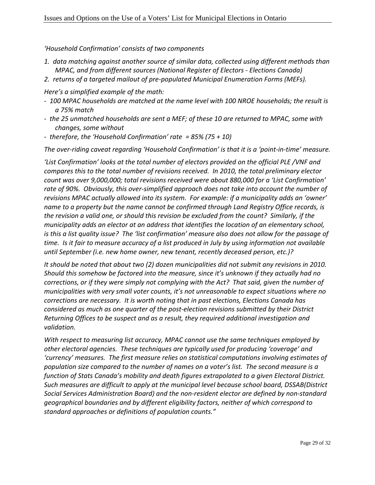*'Household Confirmation' consists of two components*

- *1. data matching against another source of similar data, collected using different methods than MPAC, and from different sources (National Register of Electors ‐ Elections Canada)*
- *2. returns of a targeted mailout of pre‐populated Municipal Enumeration Forms (MEFs).*

*Here's a simplified example of the math:*

- *‐ 100 MPAC households are matched at the name level with 100 NROE households; the result is a 75% match*
- *‐ the 25 unmatched households are sent a MEF; of these 10 are returned to MPAC, some with changes, some without*
- *‐ therefore, the 'Household Confirmation' rate = 85% (75 + 10)*

The over-riding caveat regarding 'Household Confirmation' is that it is a 'point-in-time' measure.

*'List Confirmation' looks at the total number of electors provided on the official PLE /VNF and compares this to the total number of revisions received. In 2010, the total preliminary elector count was over 9,000,000; total revisions received were about 880,000 for a 'List Confirmation' rate of 90%. Obviously, this over‐simplified approach does not take into account the number of revisions MPAC actually allowed into its system. For example: if a municipality adds an 'owner' name to a property but the name cannot be confirmed through Land Registry Office records, is the revision a valid one, or should this revision be excluded from the count? Similarly, if the municipality adds an elector at an address that identifies the location of an elementary school,* is this a list quality issue? The 'list confirmation' measure also does not allow for the passage of time. Is it fair to measure accuracy of a list produced in July by using information not available *until September (i.e. new home owner, new tenant, recently deceased person, etc.)?* 

*It should be noted that about two (2) dozen municipalities did not submit any revisions in 2010. Should this somehow be factored into the measure, since it's unknown if they actually had no corrections, or if they were simply not complying with the Act? That said, given the number of municipalities with very small voter counts, it's not unreasonable to expect situations where no corrections are necessary. It is worth noting that in past elections, Elections Canada has considered as much as one quarter of the post‐election revisions submitted by their District Returning Offices to be suspect and as a result, they required additional investigation and validation.*

*With respect to measuring list accuracy, MPAC cannot use the same techniques employed by other electoral agencies. These techniques are typically used for producing 'coverage' and 'currency' measures. The first measure relies on statistical computations involving estimates of population size compared to the number of names on a voter's list. The second measure is a function of Stats Canada's mobility and death figures extrapolated to a given Electoral District. Such measures are difficult to apply at the municipal level because school board, DSSAB(District Social Services Administration Board) and the non‐resident elector are defined by non‐standard geographical boundaries and by different eligibility factors, neither of which correspond to standard approaches or definitions of population counts."*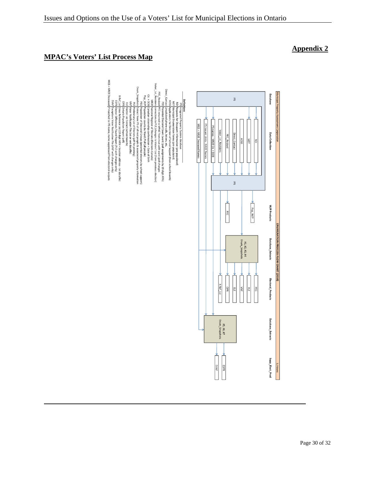## **MPAC's Voters' List Process Map**

MGS + NROE De

EVN

Cross Reference List (19 digit ARN + location address - txt datafie)<br>Cross Reference List (19 digit ARN + location address - txt datafie)<br>Sceptions Voter Motification File (VNF with changes only)<br>If matched to IPS name, na



## **Appendix 2**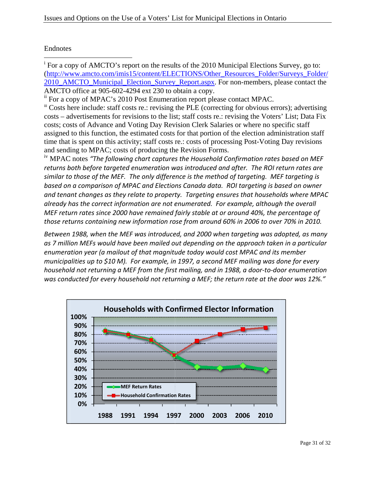# Endnotes s

 $\overline{a}$ <sup>i</sup> For a copy of AMCTO's report on the results of the 2010 Municipal Elections Survey, go to: (http://www.amcto.com/imis15/content/ELECTIONS/Other\_Resources\_Folder/Surveys\_Folder/ 2010\_AMCTO\_Municipal\_Election\_Survey\_Report.aspx. For non-members, please contact the AMCTO office at 905-602-4294 ext 230 to obtain a copy.  $\overline{\phantom{a}}$ 

 $\mathbb{I}^{\mathbb{I}}$  Costs here include: staff costs re.: revising the PLE (correcting for obvious errors); advertising costs – advertisements for revisions to the list; staff costs re.: revising the Voters' List; Data Fix costs; costs of Advance and Voting Day Revision Clerk Salaries or where no specific staff assigned to this function, the estimated costs for that portion of the election administration staff time that is spent on this activity; staff costs re.: costs of processing Post-Voting Day revisions and sending to MPAC; costs of producing the Revision Forms.

<sup>iv</sup> MPAC notes "The following chart captures the Household Confirmation rates based on MEF returns both before targeted enumeration was introduced and after. The ROI return rates are similar to those of the MEF. The only difference is the method of targeting. MEF targeting is based on a comparison of MPAC and Elections Canada data. ROI targeting is based on owner and tenant changes as they relate to property. Targeting ensures that households where MPAC already has the correct information are not enumerated. For example, although the overall already has the correct information are not enumerated. For example, although the overall<br>MEF return rates since 2000 have remained fairly stable at or around 40%, the percentage of those returns containing new information rose from around 60% in 2006 to over 70% in 2010.

Between 1988, when the MEF was introduced, and 2000 when targeting was adopted, as many as 7 million MEFs would have been mailed out depending on the approach taken in a particular enumeration year (a mailout of that magnitude today would cost MPAC and its member municipalities up to \$10 M). For example, in 1997, a second MEF mailing was done for every household not returning a MEF from the first mailing, and in 1988, a door-to-door enumeration was conducted for every household not returning a MEF; the return rate at the door was 12%."



ii For a copy of MPAC's 2010 Post Enumeration report please contact MPAC.